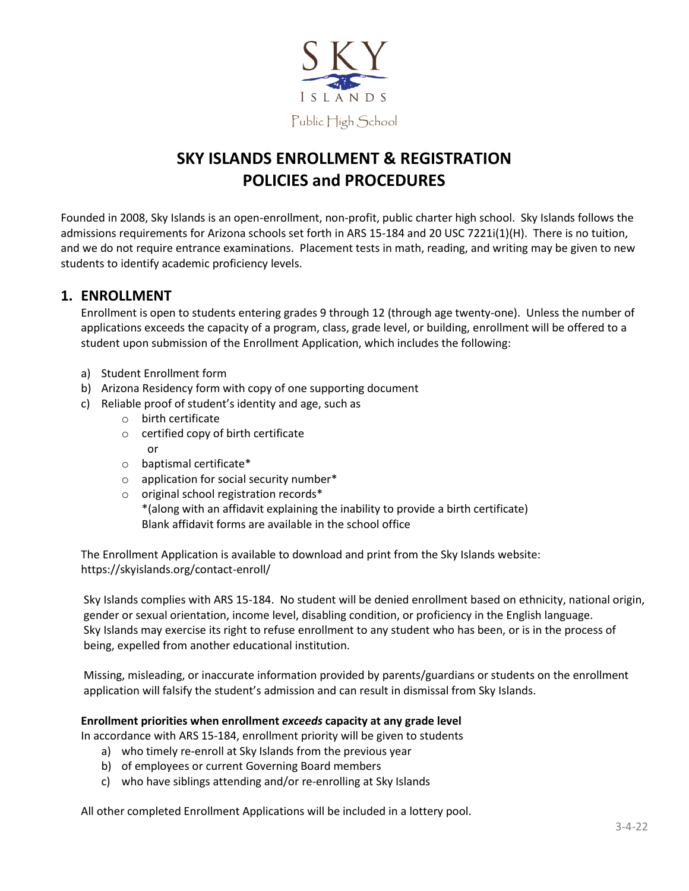

### **SKY ISLANDS ENROLLMENT & REGISTRATION POLICIES and PROCEDURES**

Founded in 2008, Sky Islands is an open-enrollment, non-profit, public charter high school. Sky Islands follows the admissions requirements for Arizona schools set forth in ARS 15-184 and 20 USC 7221i(1)(H). There is no tuition, and we do not require entrance examinations. Placement tests in math, reading, and writing may be given to new students to identify academic proficiency levels.

#### **1. ENROLLMENT**

Enrollment is open to students entering grades 9 through 12 (through age twenty-one). Unless the number of applications exceeds the capacity of a program, class, grade level, or building, enrollment will be offered to a student upon submission of the Enrollment Application, which includes the following:

- a) Student Enrollment form
- b) Arizona Residency form with copy of one supporting document
- c) Reliable proof of student's identity and age, such as
	- o birth certificate
	- o certified copy of birth certificate or
	- o baptismal certificate\*
	- o application for social security number\*
	- o original school registration records\* \*(along with an affidavit explaining the inability to provide a birth certificate) Blank affidavit forms are available in the school office

The Enrollment Application is available to download and print from the Sky Islands website: https://skyislands.org/contact-enroll/

Sky Islands complies with ARS 15-184. No student will be denied enrollment based on ethnicity, national origin, gender or sexual orientation, income level, disabling condition, or proficiency in the English language. Sky Islands may exercise its right to refuse enrollment to any student who has been, or is in the process of being, expelled from another educational institution.

Missing, misleading, or inaccurate information provided by parents/guardians or students on the enrollment application will falsify the student's admission and can result in dismissal from Sky Islands.

#### **Enrollment priorities when enrollment** *exceeds* **capacity at any grade level**

In accordance with ARS 15-184, enrollment priority will be given to students

- a) who timely re-enroll at Sky Islands from the previous year
- b) of employees or current Governing Board members
- c) who have siblings attending and/or re-enrolling at Sky Islands

All other completed Enrollment Applications will be included in a lottery pool.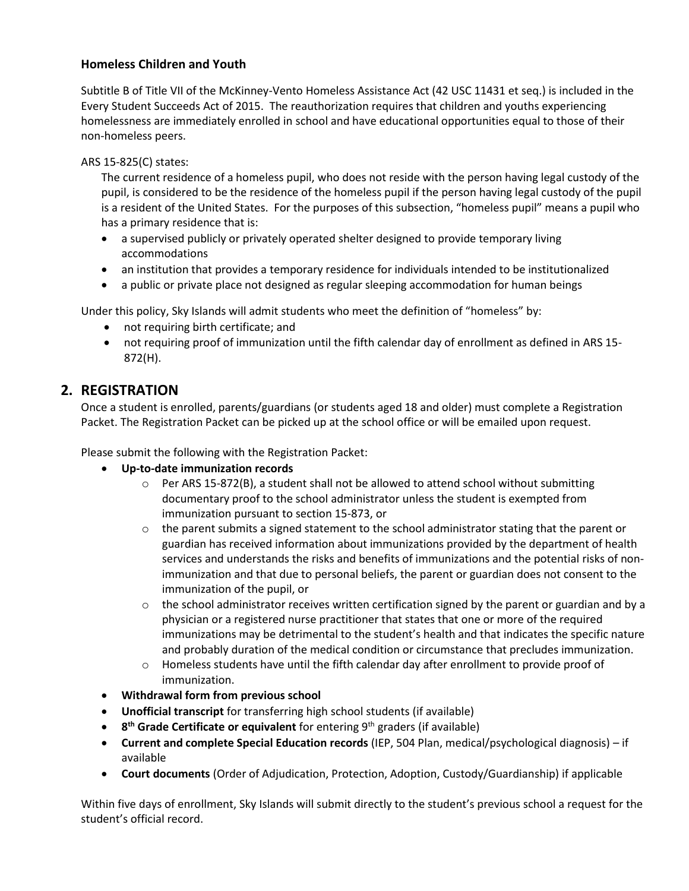#### **Homeless Children and Youth**

Subtitle B of Title VII of the McKinney-Vento Homeless Assistance Act (42 USC 11431 et seq.) is included in the Every Student Succeeds Act of 2015. The reauthorization requires that children and youths experiencing homelessness are immediately enrolled in school and have educational opportunities equal to those of their non-homeless peers.

#### ARS 15-825(C) states:

The current residence of a homeless pupil, who does not reside with the person having legal custody of the pupil, is considered to be the residence of the homeless pupil if the person having legal custody of the pupil is a resident of the United States. For the purposes of this subsection, "homeless pupil" means a pupil who has a primary residence that is:

- a supervised publicly or privately operated shelter designed to provide temporary living accommodations
- an institution that provides a temporary residence for individuals intended to be institutionalized
- a public or private place not designed as regular sleeping accommodation for human beings

Under this policy, Sky Islands will admit students who meet the definition of "homeless" by:

- not requiring birth certificate; and
- not requiring proof of immunization until the fifth calendar day of enrollment as defined in ARS 15- 872(H).

#### **2. REGISTRATION**

Once a student is enrolled, parents/guardians (or students aged 18 and older) must complete a Registration Packet. The Registration Packet can be picked up at the school office or will be emailed upon request.

Please submit the following with the Registration Packet:

- **Up-to-date immunization records**
	- $\circ$  Per ARS 15-872(B), a student shall not be allowed to attend school without submitting documentary proof to the school administrator unless the student is exempted from immunization pursuant to section 15-873, or
	- $\circ$  the parent submits a signed statement to the school administrator stating that the parent or guardian has received information about immunizations provided by the department of health services and understands the risks and benefits of immunizations and the potential risks of nonimmunization and that due to personal beliefs, the parent or guardian does not consent to the immunization of the pupil, or
	- $\circ$  the school administrator receives written certification signed by the parent or guardian and by a physician or a registered nurse practitioner that states that one or more of the required immunizations may be detrimental to the student's health and that indicates the specific nature and probably duration of the medical condition or circumstance that precludes immunization.
	- $\circ$  Homeless students have until the fifth calendar day after enrollment to provide proof of immunization.
- **Withdrawal form from previous school**
- **Unofficial transcript** for transferring high school students (if available)
- **8<sup>th</sup> Grade Certificate or equivalent** for entering 9<sup>th</sup> graders (if available)
- **Current and complete Special Education records** (IEP, 504 Plan, medical/psychological diagnosis) if available
- **Court documents** (Order of Adjudication, Protection, Adoption, Custody/Guardianship) if applicable

Within five days of enrollment, Sky Islands will submit directly to the student's previous school a request for the student's official record.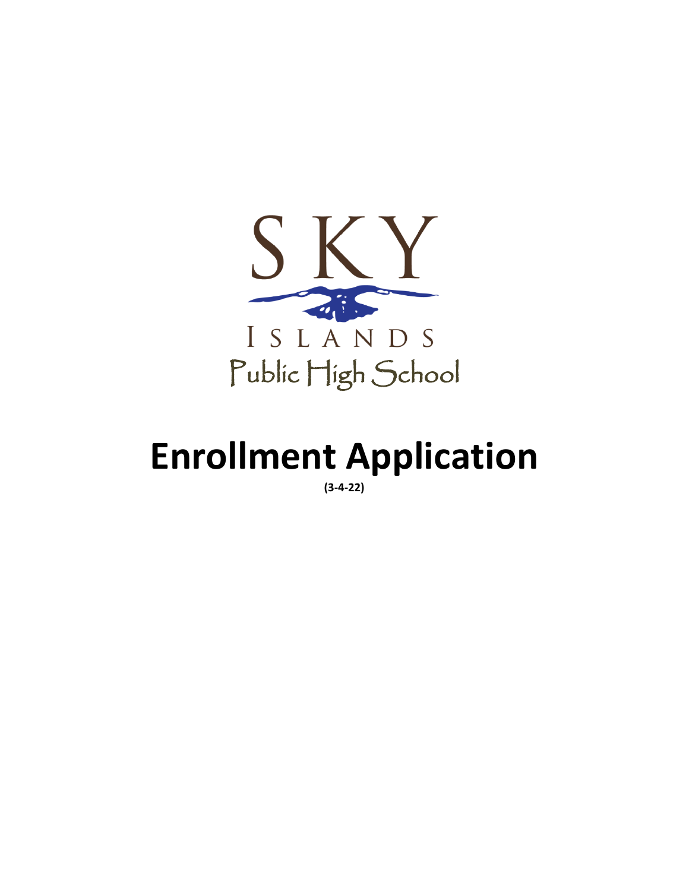

# **Enrollment Application**

**(3-4-22)**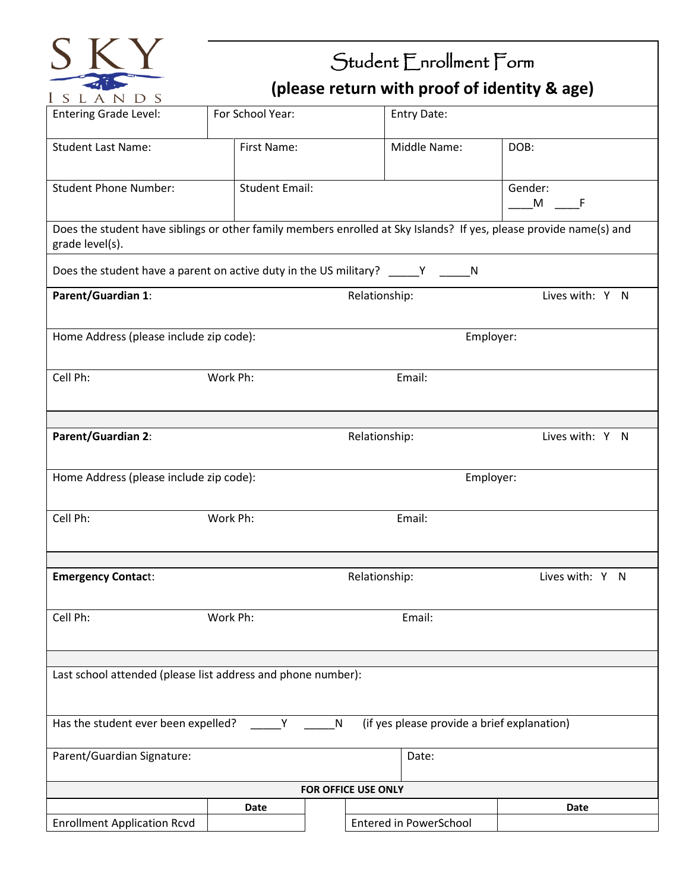

## Student Enrollment Form **(please return with proof of identity & age)**

| 1 0 1 1 1 1 1 1 0                                            |                       |                                                                                                                    |                 |
|--------------------------------------------------------------|-----------------------|--------------------------------------------------------------------------------------------------------------------|-----------------|
| <b>Entering Grade Level:</b>                                 | For School Year:      | Entry Date:                                                                                                        |                 |
| <b>Student Last Name:</b>                                    | First Name:           | Middle Name:                                                                                                       | DOB:            |
| <b>Student Phone Number:</b>                                 | <b>Student Email:</b> |                                                                                                                    | Gender:<br>M F  |
| grade level(s).                                              |                       | Does the student have siblings or other family members enrolled at Sky Islands? If yes, please provide name(s) and |                 |
|                                                              |                       | Does the student have a parent on active duty in the US military? _____Y ______N                                   |                 |
| Parent/Guardian 1:                                           |                       | Relationship:                                                                                                      | Lives with: Y N |
| Home Address (please include zip code):                      |                       |                                                                                                                    | Employer:       |
| Cell Ph:                                                     | Work Ph:              | Email:                                                                                                             |                 |
| Parent/Guardian 2:                                           |                       | Relationship:                                                                                                      | Lives with: Y N |
|                                                              |                       |                                                                                                                    |                 |
| Home Address (please include zip code):                      |                       |                                                                                                                    | Employer:       |
| Cell Ph:                                                     | Work Ph:              | Email:                                                                                                             |                 |
| <b>Emergency Contact:</b>                                    |                       | Relationship:                                                                                                      | Lives with: Y N |
|                                                              |                       |                                                                                                                    |                 |
| Cell Ph:                                                     | Work Ph:              | Email:                                                                                                             |                 |
|                                                              |                       |                                                                                                                    |                 |
| Last school attended (please list address and phone number): |                       |                                                                                                                    |                 |
| Has the student ever been expelled?                          | Y                     | (if yes please provide a brief explanation)<br>N                                                                   |                 |
| Parent/Guardian Signature:                                   |                       | Date:                                                                                                              |                 |
|                                                              |                       | FOR OFFICE USE ONLY                                                                                                |                 |
|                                                              | Date                  |                                                                                                                    | Date            |
| <b>Enrollment Application Rcvd</b>                           |                       | Entered in PowerSchool                                                                                             |                 |